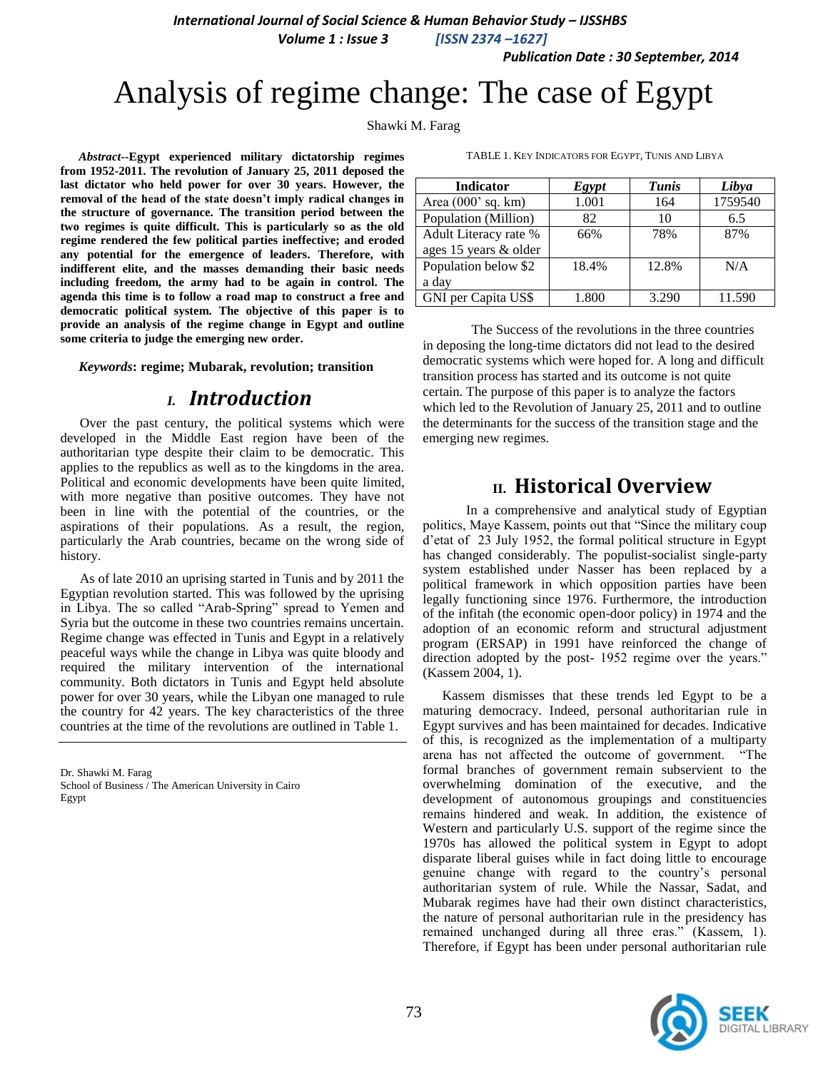**International Journal of Social Science & Human Behavior Study - IJSSHBS** 

 *Volume 1 : Issue 3 [ISSN 2374 –1627]*

 *Publication Date : 30 September, 2014*

# Analysis of regime change: The case of Egypt

Shawki M. Farag

*Abstract--***Egypt experienced military dictatorship regimes from 1952-2011. The revolution of January 25, 2011 deposed the last dictator who held power for over 30 years. However, the removal of the head of the state doesn't imply radical changes in the structure of governance. The transition period between the two regimes is quite difficult. This is particularly so as the old regime rendered the few political parties ineffective; and eroded any potential for the emergence of leaders. Therefore, with indifferent elite, and the masses demanding their basic needs including freedom, the army had to be again in control. The agenda this time is to follow a road map to construct a free and democratic political system. The objective of this paper is to provide an analysis of the regime change in Egypt and outline some criteria to judge the emerging new order.** 

*Keywords***: regime; Mubarak, revolution; transition**

### *I. Introduction*

Over the past century, the political systems which were developed in the Middle East region have been of the authoritarian type despite their claim to be democratic. This applies to the republics as well as to the kingdoms in the area. Political and economic developments have been quite limited, with more negative than positive outcomes. They have not been in line with the potential of the countries, or the aspirations of their populations. As a result, the region, particularly the Arab countries, became on the wrong side of history.

As of late 2010 an uprising started in Tunis and by 2011 the Egyptian revolution started. This was followed by the uprising in Libya. The so called "Arab-Spring" spread to Yemen and Syria but the outcome in these two countries remains uncertain. Regime change was effected in Tunis and Egypt in a relatively peaceful ways while the change in Libya was quite bloody and required the military intervention of the international community. Both dictators in Tunis and Egypt held absolute power for over 30 years, while the Libyan one managed to rule the country for 42 years. The key characteristics of the three countries at the time of the revolutions are outlined in Table 1.

Dr. Shawki M. Farag School of Business / The American University in Cairo Egypt

TABLE 1. KEY INDICATORS FOR EGYPT, TUNIS AND LIBYA

| <b>Indicator</b>        | <b>Egypt</b> | <b>Tunis</b> | Libya   |
|-------------------------|--------------|--------------|---------|
| Area $(000$ 'sq. km $)$ | 1.001        | 164          | 1759540 |
| Population (Million)    | 82           | 10           | 6.5     |
| Adult Literacy rate %   | 66%          | 78%          | 87%     |
| ages 15 years & older   |              |              |         |
| Population below \$2    | 18.4%        | 12.8%        | N/A     |
| a day                   |              |              |         |
| GNI per Capita US\$     | 1.800        | 3.290        | 11.590  |

The Success of the revolutions in the three countries in deposing the long-time dictators did not lead to the desired democratic systems which were hoped for. A long and difficult transition process has started and its outcome is not quite certain. The purpose of this paper is to analyze the factors which led to the Revolution of January 25, 2011 and to outline the determinants for the success of the transition stage and the emerging new regimes.

# **II. Historical Overview**

 In a comprehensive and analytical study of Egyptian politics, Maye Kassem, points out that "Since the military coup d"etat of 23 July 1952, the formal political structure in Egypt has changed considerably. The populist-socialist single-party system established under Nasser has been replaced by a political framework in which opposition parties have been legally functioning since 1976. Furthermore, the introduction of the infitah (the economic open-door policy) in 1974 and the adoption of an economic reform and structural adjustment program (ERSAP) in 1991 have reinforced the change of direction adopted by the post- 1952 regime over the years." (Kassem 2004, 1).

Kassem dismisses that these trends led Egypt to be a maturing democracy. Indeed, personal authoritarian rule in Egypt survives and has been maintained for decades. Indicative of this, is recognized as the implementation of a multiparty arena has not affected the outcome of government. "The formal branches of government remain subservient to the overwhelming domination of the executive, and the development of autonomous groupings and constituencies remains hindered and weak. In addition, the existence of Western and particularly U.S. support of the regime since the 1970s has allowed the political system in Egypt to adopt disparate liberal guises while in fact doing little to encourage genuine change with regard to the country"s personal authoritarian system of rule. While the Nassar, Sadat, and Mubarak regimes have had their own distinct characteristics, the nature of personal authoritarian rule in the presidency has remained unchanged during all three eras." (Kassem, 1). Therefore, if Egypt has been under personal authoritarian rule

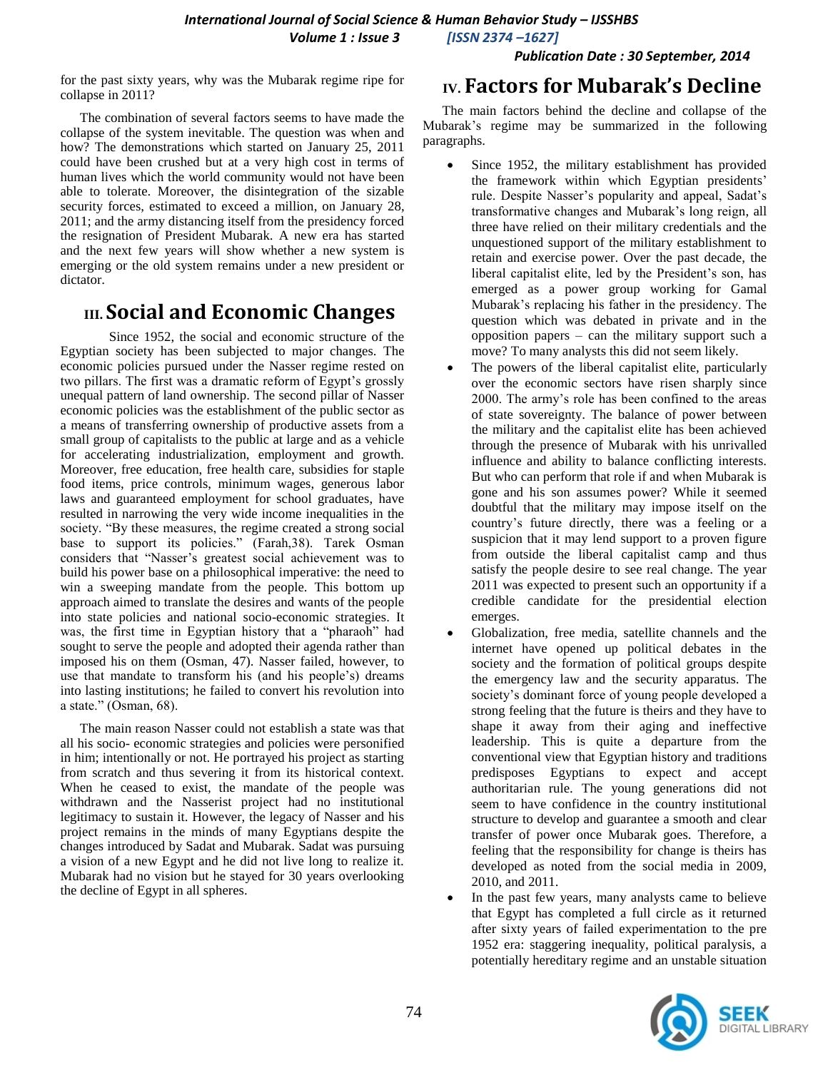*Publication Date : 30 September, 2014*

for the past sixty years, why was the Mubarak regime ripe for collapse in 2011?

The combination of several factors seems to have made the collapse of the system inevitable. The question was when and how? The demonstrations which started on January 25, 2011 could have been crushed but at a very high cost in terms of human lives which the world community would not have been able to tolerate. Moreover, the disintegration of the sizable security forces, estimated to exceed a million, on January 28, 2011; and the army distancing itself from the presidency forced the resignation of President Mubarak. A new era has started and the next few years will show whether a new system is emerging or the old system remains under a new president or dictator.

# **III. Social and Economic Changes**

Since 1952, the social and economic structure of the Egyptian society has been subjected to major changes. The economic policies pursued under the Nasser regime rested on two pillars. The first was a dramatic reform of Egypt's grossly unequal pattern of land ownership. The second pillar of Nasser economic policies was the establishment of the public sector as a means of transferring ownership of productive assets from a small group of capitalists to the public at large and as a vehicle for accelerating industrialization, employment and growth. Moreover, free education, free health care, subsidies for staple food items, price controls, minimum wages, generous labor laws and guaranteed employment for school graduates, have resulted in narrowing the very wide income inequalities in the society. "By these measures, the regime created a strong social base to support its policies." (Farah,38). Tarek Osman considers that "Nasser"s greatest social achievement was to build his power base on a philosophical imperative: the need to win a sweeping mandate from the people. This bottom up approach aimed to translate the desires and wants of the people into state policies and national socio-economic strategies. It was, the first time in Egyptian history that a "pharaoh" had sought to serve the people and adopted their agenda rather than imposed his on them (Osman, 47). Nasser failed, however, to use that mandate to transform his (and his people"s) dreams into lasting institutions; he failed to convert his revolution into a state." (Osman, 68).

The main reason Nasser could not establish a state was that all his socio- economic strategies and policies were personified in him; intentionally or not. He portrayed his project as starting from scratch and thus severing it from its historical context. When he ceased to exist, the mandate of the people was withdrawn and the Nasserist project had no institutional legitimacy to sustain it. However, the legacy of Nasser and his project remains in the minds of many Egyptians despite the changes introduced by Sadat and Mubarak. Sadat was pursuing a vision of a new Egypt and he did not live long to realize it. Mubarak had no vision but he stayed for 30 years overlooking the decline of Egypt in all spheres.

### **IV. Factors for Mubarak's Decline**

The main factors behind the decline and collapse of the Mubarak"s regime may be summarized in the following paragraphs.

- Since 1952, the military establishment has provided the framework within which Egyptian presidents" rule. Despite Nasser's popularity and appeal, Sadat's transformative changes and Mubarak"s long reign, all three have relied on their military credentials and the unquestioned support of the military establishment to retain and exercise power. Over the past decade, the liberal capitalist elite, led by the President's son, has emerged as a power group working for Gamal Mubarak"s replacing his father in the presidency. The question which was debated in private and in the opposition papers – can the military support such a move? To many analysts this did not seem likely.
- The powers of the liberal capitalist elite, particularly over the economic sectors have risen sharply since 2000. The army"s role has been confined to the areas of state sovereignty. The balance of power between the military and the capitalist elite has been achieved through the presence of Mubarak with his unrivalled influence and ability to balance conflicting interests. But who can perform that role if and when Mubarak is gone and his son assumes power? While it seemed doubtful that the military may impose itself on the country"s future directly, there was a feeling or a suspicion that it may lend support to a proven figure from outside the liberal capitalist camp and thus satisfy the people desire to see real change. The year 2011 was expected to present such an opportunity if a credible candidate for the presidential election emerges.
- Globalization, free media, satellite channels and the internet have opened up political debates in the society and the formation of political groups despite the emergency law and the security apparatus. The society"s dominant force of young people developed a strong feeling that the future is theirs and they have to shape it away from their aging and ineffective leadership. This is quite a departure from the conventional view that Egyptian history and traditions predisposes Egyptians to expect and accept authoritarian rule. The young generations did not seem to have confidence in the country institutional structure to develop and guarantee a smooth and clear transfer of power once Mubarak goes. Therefore, a feeling that the responsibility for change is theirs has developed as noted from the social media in 2009, 2010, and 2011.
- In the past few years, many analysts came to believe that Egypt has completed a full circle as it returned after sixty years of failed experimentation to the pre 1952 era: staggering inequality, political paralysis, a potentially hereditary regime and an unstable situation

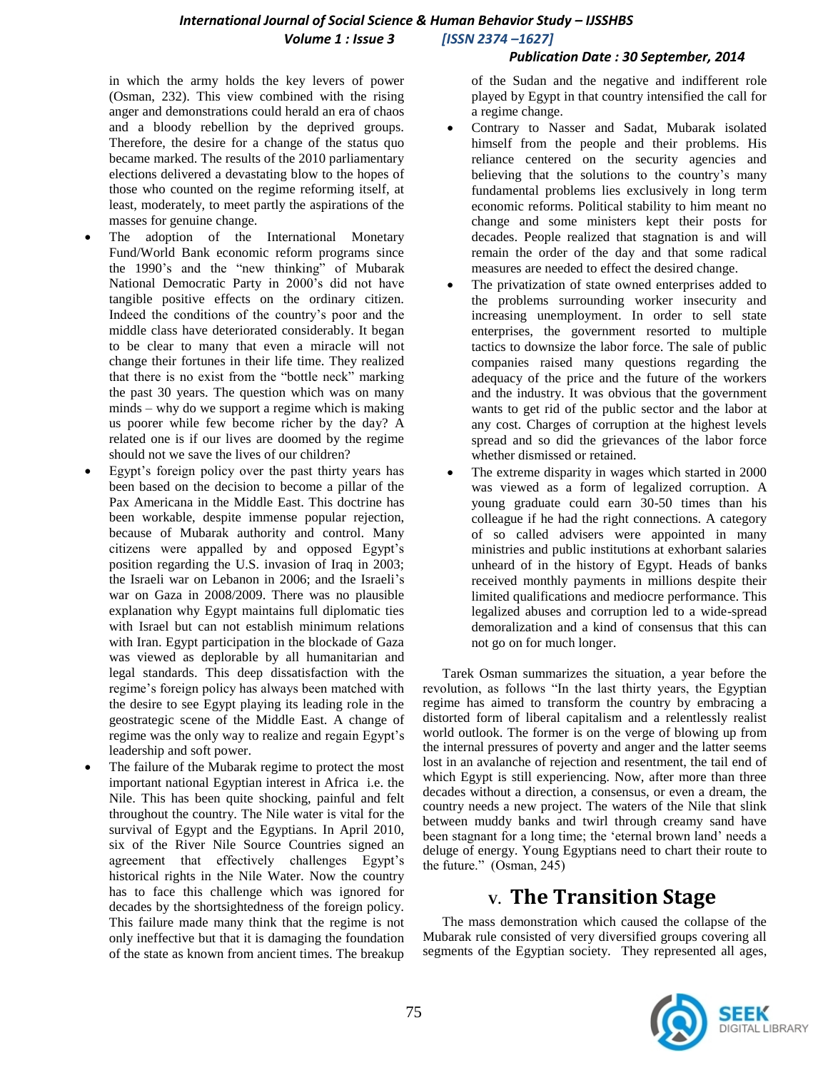#### *Publication Date : 30 September, 2014*

in which the army holds the key levers of power (Osman, 232). This view combined with the rising anger and demonstrations could herald an era of chaos and a bloody rebellion by the deprived groups. Therefore, the desire for a change of the status quo became marked. The results of the 2010 parliamentary elections delivered a devastating blow to the hopes of those who counted on the regime reforming itself, at least, moderately, to meet partly the aspirations of the masses for genuine change.

- The adoption of the International Monetary Fund/World Bank economic reform programs since the 1990's and the "new thinking" of Mubarak National Democratic Party in 2000"s did not have tangible positive effects on the ordinary citizen. Indeed the conditions of the country"s poor and the middle class have deteriorated considerably. It began to be clear to many that even a miracle will not change their fortunes in their life time. They realized that there is no exist from the "bottle neck" marking the past 30 years. The question which was on many minds – why do we support a regime which is making us poorer while few become richer by the day? A related one is if our lives are doomed by the regime should not we save the lives of our children?
- Egypt"s foreign policy over the past thirty years has been based on the decision to become a pillar of the Pax Americana in the Middle East. This doctrine has been workable, despite immense popular rejection, because of Mubarak authority and control. Many citizens were appalled by and opposed Egypt"s position regarding the U.S. invasion of Iraq in 2003; the Israeli war on Lebanon in 2006; and the Israeli"s war on Gaza in 2008/2009. There was no plausible explanation why Egypt maintains full diplomatic ties with Israel but can not establish minimum relations with Iran. Egypt participation in the blockade of Gaza was viewed as deplorable by all humanitarian and legal standards. This deep dissatisfaction with the regime"s foreign policy has always been matched with the desire to see Egypt playing its leading role in the geostrategic scene of the Middle East. A change of regime was the only way to realize and regain Egypt"s leadership and soft power.
- The failure of the Mubarak regime to protect the most important national Egyptian interest in Africa i.e. the Nile. This has been quite shocking, painful and felt throughout the country. The Nile water is vital for the survival of Egypt and the Egyptians. In April 2010, six of the River Nile Source Countries signed an agreement that effectively challenges Egypt's historical rights in the Nile Water. Now the country has to face this challenge which was ignored for decades by the shortsightedness of the foreign policy. This failure made many think that the regime is not only ineffective but that it is damaging the foundation of the state as known from ancient times. The breakup

of the Sudan and the negative and indifferent role played by Egypt in that country intensified the call for a regime change.

- Contrary to Nasser and Sadat, Mubarak isolated himself from the people and their problems. His reliance centered on the security agencies and believing that the solutions to the country"s many fundamental problems lies exclusively in long term economic reforms. Political stability to him meant no change and some ministers kept their posts for decades. People realized that stagnation is and will remain the order of the day and that some radical measures are needed to effect the desired change.
- The privatization of state owned enterprises added to the problems surrounding worker insecurity and increasing unemployment. In order to sell state enterprises, the government resorted to multiple tactics to downsize the labor force. The sale of public companies raised many questions regarding the adequacy of the price and the future of the workers and the industry. It was obvious that the government wants to get rid of the public sector and the labor at any cost. Charges of corruption at the highest levels spread and so did the grievances of the labor force whether dismissed or retained.
- The extreme disparity in wages which started in 2000 was viewed as a form of legalized corruption. A young graduate could earn 30-50 times than his colleague if he had the right connections. A category of so called advisers were appointed in many ministries and public institutions at exhorbant salaries unheard of in the history of Egypt. Heads of banks received monthly payments in millions despite their limited qualifications and mediocre performance. This legalized abuses and corruption led to a wide-spread demoralization and a kind of consensus that this can not go on for much longer.

Tarek Osman summarizes the situation, a year before the revolution, as follows "In the last thirty years, the Egyptian regime has aimed to transform the country by embracing a distorted form of liberal capitalism and a relentlessly realist world outlook. The former is on the verge of blowing up from the internal pressures of poverty and anger and the latter seems lost in an avalanche of rejection and resentment, the tail end of which Egypt is still experiencing. Now, after more than three decades without a direction, a consensus, or even a dream, the country needs a new project. The waters of the Nile that slink between muddy banks and twirl through creamy sand have been stagnant for a long time; the 'eternal brown land' needs a deluge of energy. Young Egyptians need to chart their route to the future." (Osman, 245)

# **V. The Transition Stage**

The mass demonstration which caused the collapse of the Mubarak rule consisted of very diversified groups covering all segments of the Egyptian society. They represented all ages,

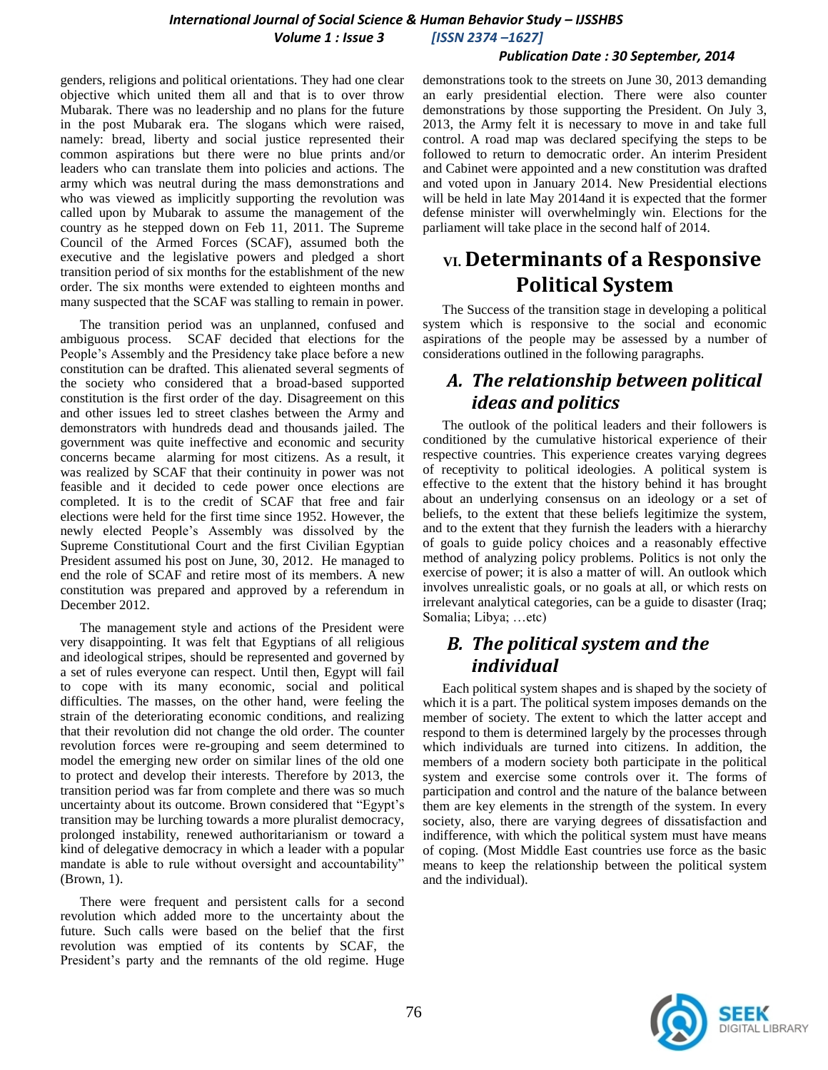### *International Journal of Social Science & Human Behavior Study – IJSSHBS Volume 1 : Issue 3 [ISSN 2374 –1627]*

#### *Publication Date : 30 September, 2014*

genders, religions and political orientations. They had one clear objective which united them all and that is to over throw Mubarak. There was no leadership and no plans for the future in the post Mubarak era. The slogans which were raised, namely: bread, liberty and social justice represented their common aspirations but there were no blue prints and/or leaders who can translate them into policies and actions. The army which was neutral during the mass demonstrations and who was viewed as implicitly supporting the revolution was called upon by Mubarak to assume the management of the country as he stepped down on Feb 11, 2011. The Supreme Council of the Armed Forces (SCAF), assumed both the executive and the legislative powers and pledged a short transition period of six months for the establishment of the new order. The six months were extended to eighteen months and many suspected that the SCAF was stalling to remain in power.

The transition period was an unplanned, confused and ambiguous process. SCAF decided that elections for the People's Assembly and the Presidency take place before a new constitution can be drafted. This alienated several segments of the society who considered that a broad-based supported constitution is the first order of the day. Disagreement on this and other issues led to street clashes between the Army and demonstrators with hundreds dead and thousands jailed. The government was quite ineffective and economic and security concerns became alarming for most citizens. As a result, it was realized by SCAF that their continuity in power was not feasible and it decided to cede power once elections are completed. It is to the credit of SCAF that free and fair elections were held for the first time since 1952. However, the newly elected People"s Assembly was dissolved by the Supreme Constitutional Court and the first Civilian Egyptian President assumed his post on June, 30, 2012. He managed to end the role of SCAF and retire most of its members. A new constitution was prepared and approved by a referendum in December 2012.

The management style and actions of the President were very disappointing. It was felt that Egyptians of all religious and ideological stripes, should be represented and governed by a set of rules everyone can respect. Until then, Egypt will fail to cope with its many economic, social and political difficulties. The masses, on the other hand, were feeling the strain of the deteriorating economic conditions, and realizing that their revolution did not change the old order. The counter revolution forces were re-grouping and seem determined to model the emerging new order on similar lines of the old one to protect and develop their interests. Therefore by 2013, the transition period was far from complete and there was so much uncertainty about its outcome. Brown considered that "Egypt"s transition may be lurching towards a more pluralist democracy, prolonged instability, renewed authoritarianism or toward a kind of delegative democracy in which a leader with a popular mandate is able to rule without oversight and accountability" (Brown, 1).

There were frequent and persistent calls for a second revolution which added more to the uncertainty about the future. Such calls were based on the belief that the first revolution was emptied of its contents by SCAF, the President's party and the remnants of the old regime. Huge demonstrations took to the streets on June 30, 2013 demanding an early presidential election. There were also counter demonstrations by those supporting the President. On July 3, 2013, the Army felt it is necessary to move in and take full control. A road map was declared specifying the steps to be followed to return to democratic order. An interim President and Cabinet were appointed and a new constitution was drafted and voted upon in January 2014. New Presidential elections will be held in late May 2014and it is expected that the former defense minister will overwhelmingly win. Elections for the parliament will take place in the second half of 2014.

# **VI. Determinants of a Responsive Political System**

The Success of the transition stage in developing a political system which is responsive to the social and economic aspirations of the people may be assessed by a number of considerations outlined in the following paragraphs.

### *A. The relationship between political ideas and politics*

The outlook of the political leaders and their followers is conditioned by the cumulative historical experience of their respective countries. This experience creates varying degrees of receptivity to political ideologies. A political system is effective to the extent that the history behind it has brought about an underlying consensus on an ideology or a set of beliefs, to the extent that these beliefs legitimize the system, and to the extent that they furnish the leaders with a hierarchy of goals to guide policy choices and a reasonably effective method of analyzing policy problems. Politics is not only the exercise of power; it is also a matter of will. An outlook which involves unrealistic goals, or no goals at all, or which rests on irrelevant analytical categories, can be a guide to disaster (Iraq; Somalia; Libya; …etc)

### *B. The political system and the individual*

Each political system shapes and is shaped by the society of which it is a part. The political system imposes demands on the member of society. The extent to which the latter accept and respond to them is determined largely by the processes through which individuals are turned into citizens. In addition, the members of a modern society both participate in the political system and exercise some controls over it. The forms of participation and control and the nature of the balance between them are key elements in the strength of the system. In every society, also, there are varying degrees of dissatisfaction and indifference, with which the political system must have means of coping. (Most Middle East countries use force as the basic means to keep the relationship between the political system and the individual).